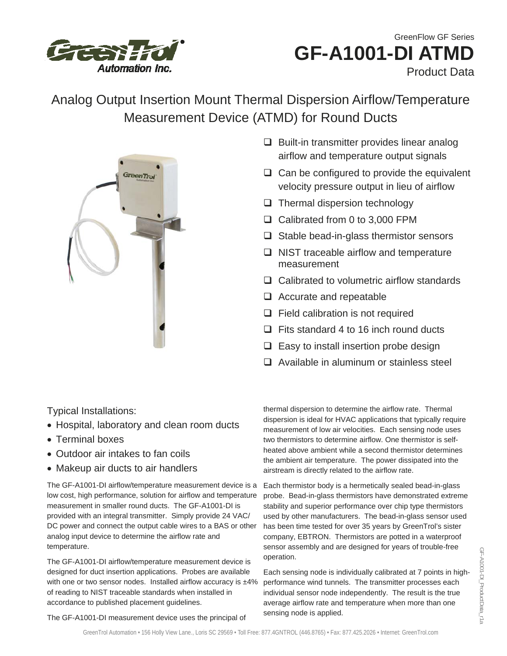

# **GF-A1001-DI ATMD**  GreenFlow GF Series Product Data

# Analog Output Insertion Mount Thermal Dispersion Airflow/Temperature Measurement Device (ATMD) for Round Ducts



- $\Box$  Built-in transmitter provides linear analog airflow and temperature output signals
- $\Box$  Can be configured to provide the equivalent velocity pressure output in lieu of airflow
- $\Box$  Thermal dispersion technology
- □ Calibrated from 0 to 3,000 FPM
- $\Box$  Stable bead-in-glass thermistor sensors
- $\Box$  NIST traceable airflow and temperature measurement
- □ Calibrated to volumetric airflow standards
- □ Accurate and repeatable
- $\Box$  Field calibration is not required
- $\Box$  Fits standard 4 to 16 inch round ducts
- $\Box$  Easy to install insertion probe design
- $\Box$  Available in aluminum or stainless steel

Typical Installations:

- Hospital, laboratory and clean room ducts
- Terminal boxes
- Outdoor air intakes to fan coils
- Makeup air ducts to air handlers

The GF-A1001-DI airflow/temperature measurement device is a low cost, high performance, solution for airflow and temperature measurement in smaller round ducts. The GF-A1001-DI is provided with an integral transmitter. Simply provide 24 VAC/ DC power and connect the output cable wires to a BAS or other analog input device to determine the airflow rate and temperature.

The GF-A1001-DI airflow/temperature measurement device is designed for duct insertion applications. Probes are available with one or two sensor nodes. Installed airflow accuracy is  $±4\%$ of reading to NIST traceable standards when installed in accordance to published placement guidelines.

The GF-A1001-DI measurement device uses the principal of

thermal dispersion to determine the airflow rate. Thermal dispersion is ideal for HVAC applications that typically require measurement of low air velocities. Each sensing node uses two thermistors to determine airflow. One thermistor is selfheated above ambient while a second thermistor determines the ambient air temperature. The power dissipated into the airstream is directly related to the airflow rate.

Each thermistor body is a hermetically sealed bead-in-glass probe. Bead-in-glass thermistors have demonstrated extreme stability and superior performance over chip type thermistors used by other manufacturers. The bead-in-glass sensor used has been time tested for over 35 years by GreenTrol's sister company, EBTRON. Thermistors are potted in a waterproof sensor assembly and are designed for years of trouble-free operation.

Each sensing node is individually calibrated at 7 points in highperformance wind tunnels. The transmitter processes each individual sensor node independently. The result is the true average airflow rate and temperature when more than one sensing node is applied.